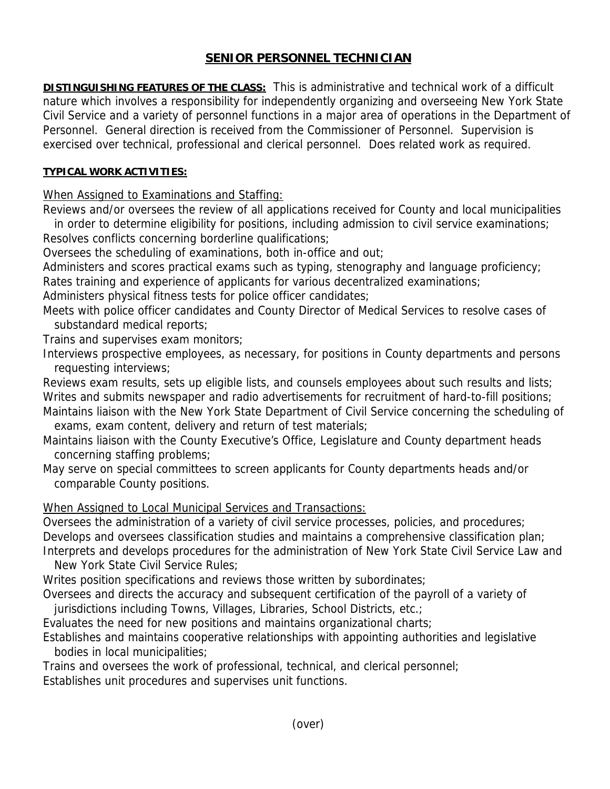## **SENIOR PERSONNEL TECHNICIAN**

**DISTINGUISHING FEATURES OF THE CLASS:** This is administrative and technical work of a difficult nature which involves a responsibility for independently organizing and overseeing New York State Civil Service and a variety of personnel functions in a major area of operations in the Department of Personnel. General direction is received from the Commissioner of Personnel. Supervision is exercised over technical, professional and clerical personnel. Does related work as required.

## **TYPICAL WORK ACTIVITIES:**

When Assigned to Examinations and Staffing:

Reviews and/or oversees the review of all applications received for County and local municipalities in order to determine eligibility for positions, including admission to civil service examinations; Resolves conflicts concerning borderline qualifications;

Oversees the scheduling of examinations, both in-office and out;

Administers and scores practical exams such as typing, stenography and language proficiency; Rates training and experience of applicants for various decentralized examinations;

Administers physical fitness tests for police officer candidates;

Meets with police officer candidates and County Director of Medical Services to resolve cases of substandard medical reports;

Trains and supervises exam monitors;

Interviews prospective employees, as necessary, for positions in County departments and persons requesting interviews;

Reviews exam results, sets up eligible lists, and counsels employees about such results and lists; Writes and submits newspaper and radio advertisements for recruitment of hard-to-fill positions; Maintains liaison with the New York State Department of Civil Service concerning the scheduling of

exams, exam content, delivery and return of test materials;

- Maintains liaison with the County Executive's Office, Legislature and County department heads concerning staffing problems;
- May serve on special committees to screen applicants for County departments heads and/or comparable County positions.

When Assigned to Local Municipal Services and Transactions:

Oversees the administration of a variety of civil service processes, policies, and procedures; Develops and oversees classification studies and maintains a comprehensive classification plan; Interprets and develops procedures for the administration of New York State Civil Service Law and

New York State Civil Service Rules;

Writes position specifications and reviews those written by subordinates;

Oversees and directs the accuracy and subsequent certification of the payroll of a variety of jurisdictions including Towns, Villages, Libraries, School Districts, etc.;

Evaluates the need for new positions and maintains organizational charts;

Establishes and maintains cooperative relationships with appointing authorities and legislative bodies in local municipalities;

Trains and oversees the work of professional, technical, and clerical personnel;

Establishes unit procedures and supervises unit functions.